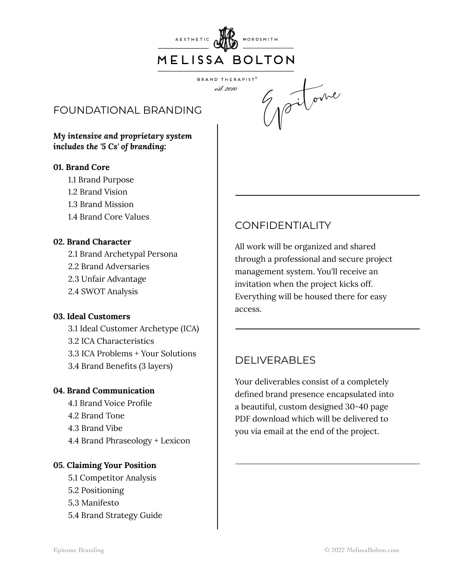

BRAND THERAPIST<sup>®</sup> est. 2010

# FOUNDATIONAL BRANDING

*My intensive and proprietary system includes the '5 Cs' of branding:*

#### **01. Brand Core**

- 1.1 Brand Purpose
- 1.2 Brand Vision
- 1.3 Brand Mission
- 1.4 Brand Core Values

### **02. Brand Character**

2.1 Brand Archetypal Persona

- 2.2 Brand Adversaries
- 2.3 Unfair Advantage
- 2.4 SWOT Analysis

#### **03. Ideal Customers**

 3.1 Ideal Customer Archetype (ICA) 3.2 ICA Characteristics 3.3 ICA Problems + Your Solutions 3.4 Brand Benefits (3 layers)

#### **04. Brand Communication**

 4.1 Brand Voice Profile 4.2 Brand Tone 4.3 Brand Vibe 4.4 Brand Phraseology + Lexicon

### **05. Claiming Your Position**

- 5.1 Competitor Analysis
- 5.2 Positioning
- 5.3 Manifesto
- 5.4 Brand Strategy Guide

# CONFIDENTIALITY

All work will be organized and shared through a professional and secure project management system. You'll receive an invitation when the project kicks off. Everything will be housed there for easy access.

Epitome

# DELIVERABLES

Your deliverables consist of a completely defined brand presence encapsulated into a beautiful, custom designed 30-40 page PDF download which will be delivered to you via email at the end of the project.